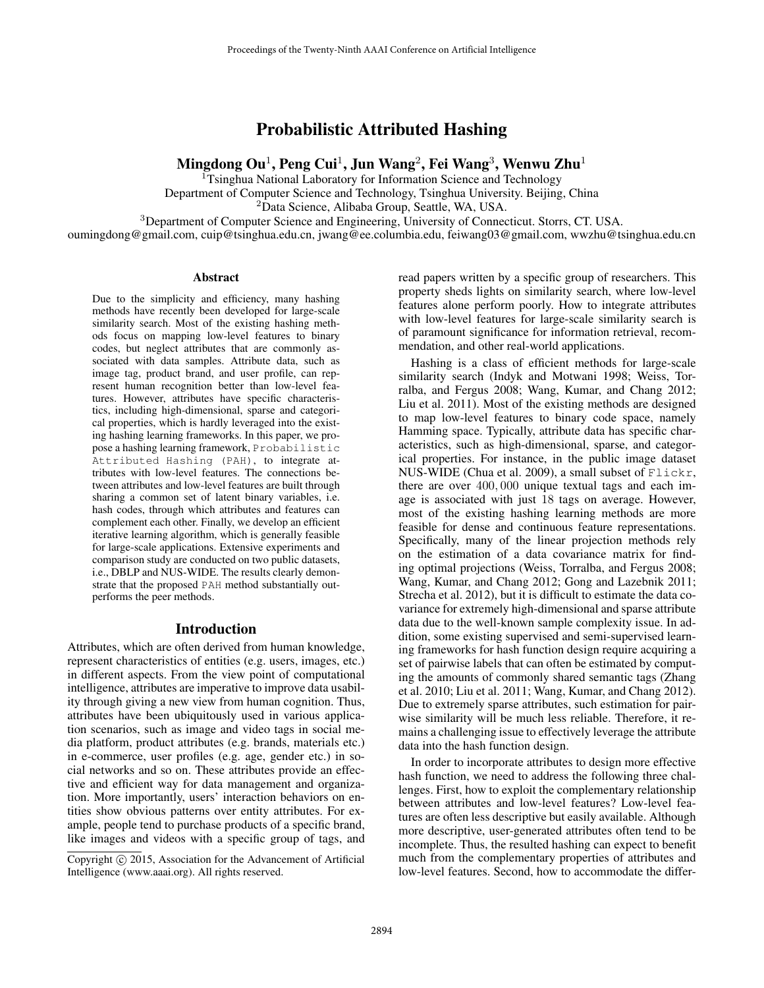Probabilistic Attributed Hashing

Mingdong Ou $^1$ , Peng Cui $^1$ , Jun Wang $^2$ , Fei Wang $^3$ , Wenwu Zhu $^1$ 

<sup>1</sup>Tsinghua National Laboratory for Information Science and Technology Department of Computer Science and Technology, Tsinghua University. Beijing, China

<sup>2</sup>Data Science, Alibaba Group, Seattle, WA, USA.

<sup>3</sup>Department of Computer Science and Engineering, University of Connecticut. Storrs, CT. USA.

oumingdong@gmail.com, cuip@tsinghua.edu.cn, jwang@ee.columbia.edu, feiwang03@gmail.com, wwzhu@tsinghua.edu.cn

#### Abstract

Due to the simplicity and efficiency, many hashing methods have recently been developed for large-scale similarity search. Most of the existing hashing methods focus on mapping low-level features to binary codes, but neglect attributes that are commonly associated with data samples. Attribute data, such as image tag, product brand, and user profile, can represent human recognition better than low-level features. However, attributes have specific characteristics, including high-dimensional, sparse and categorical properties, which is hardly leveraged into the existing hashing learning frameworks. In this paper, we propose a hashing learning framework, Probabilistic Attributed Hashing (PAH), to integrate attributes with low-level features. The connections between attributes and low-level features are built through sharing a common set of latent binary variables, i.e. hash codes, through which attributes and features can complement each other. Finally, we develop an efficient iterative learning algorithm, which is generally feasible for large-scale applications. Extensive experiments and comparison study are conducted on two public datasets, i.e., DBLP and NUS-WIDE. The results clearly demonstrate that the proposed PAH method substantially outperforms the peer methods.

# Introduction

Attributes, which are often derived from human knowledge, represent characteristics of entities (e.g. users, images, etc.) in different aspects. From the view point of computational intelligence, attributes are imperative to improve data usability through giving a new view from human cognition. Thus, attributes have been ubiquitously used in various application scenarios, such as image and video tags in social media platform, product attributes (e.g. brands, materials etc.) in e-commerce, user profiles (e.g. age, gender etc.) in social networks and so on. These attributes provide an effective and efficient way for data management and organization. More importantly, users' interaction behaviors on entities show obvious patterns over entity attributes. For example, people tend to purchase products of a specific brand, like images and videos with a specific group of tags, and

read papers written by a specific group of researchers. This property sheds lights on similarity search, where low-level features alone perform poorly. How to integrate attributes with low-level features for large-scale similarity search is of paramount significance for information retrieval, recommendation, and other real-world applications.

Hashing is a class of efficient methods for large-scale similarity search (Indyk and Motwani 1998; Weiss, Torralba, and Fergus 2008; Wang, Kumar, and Chang 2012; Liu et al. 2011). Most of the existing methods are designed to map low-level features to binary code space, namely Hamming space. Typically, attribute data has specific characteristics, such as high-dimensional, sparse, and categorical properties. For instance, in the public image dataset NUS-WIDE (Chua et al. 2009), a small subset of Flickr, there are over 400, 000 unique textual tags and each image is associated with just 18 tags on average. However, most of the existing hashing learning methods are more feasible for dense and continuous feature representations. Specifically, many of the linear projection methods rely on the estimation of a data covariance matrix for finding optimal projections (Weiss, Torralba, and Fergus 2008; Wang, Kumar, and Chang 2012; Gong and Lazebnik 2011; Strecha et al. 2012), but it is difficult to estimate the data covariance for extremely high-dimensional and sparse attribute data due to the well-known sample complexity issue. In addition, some existing supervised and semi-supervised learning frameworks for hash function design require acquiring a set of pairwise labels that can often be estimated by computing the amounts of commonly shared semantic tags (Zhang et al. 2010; Liu et al. 2011; Wang, Kumar, and Chang 2012). Due to extremely sparse attributes, such estimation for pairwise similarity will be much less reliable. Therefore, it remains a challenging issue to effectively leverage the attribute data into the hash function design.

In order to incorporate attributes to design more effective hash function, we need to address the following three challenges. First, how to exploit the complementary relationship between attributes and low-level features? Low-level features are often less descriptive but easily available. Although more descriptive, user-generated attributes often tend to be incomplete. Thus, the resulted hashing can expect to benefit much from the complementary properties of attributes and low-level features. Second, how to accommodate the differ-

Copyright  $\odot$  2015, Association for the Advancement of Artificial Intelligence (www.aaai.org). All rights reserved.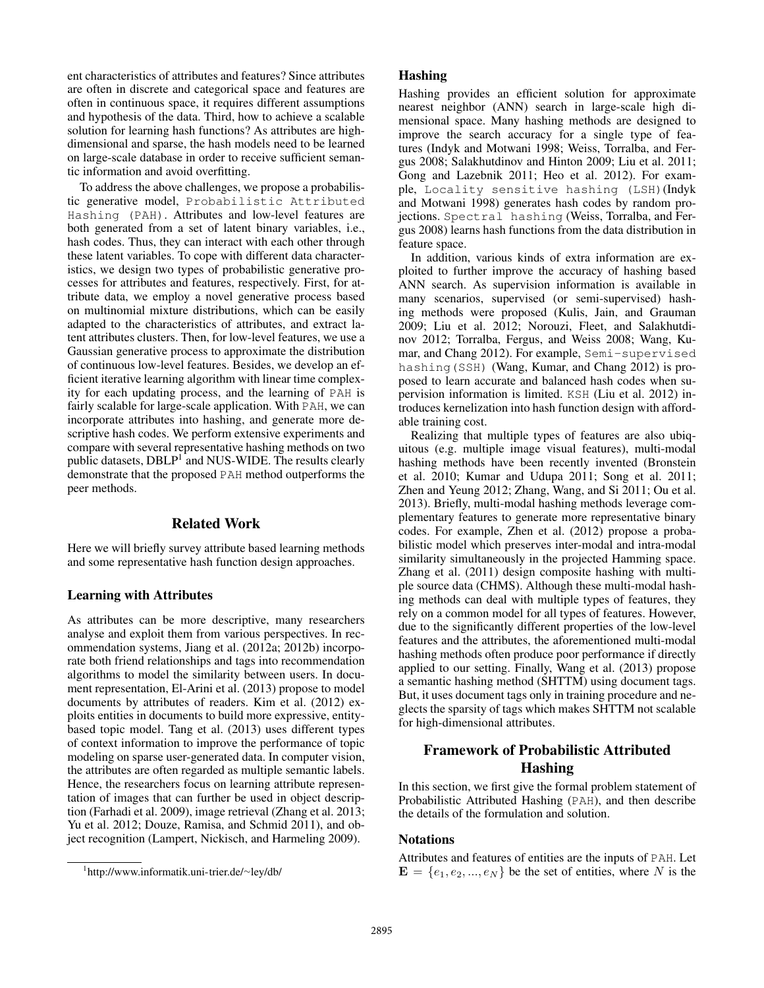ent characteristics of attributes and features? Since attributes are often in discrete and categorical space and features are often in continuous space, it requires different assumptions and hypothesis of the data. Third, how to achieve a scalable solution for learning hash functions? As attributes are highdimensional and sparse, the hash models need to be learned on large-scale database in order to receive sufficient semantic information and avoid overfitting.

To address the above challenges, we propose a probabilistic generative model, Probabilistic Attributed Hashing (PAH). Attributes and low-level features are both generated from a set of latent binary variables, i.e., hash codes. Thus, they can interact with each other through these latent variables. To cope with different data characteristics, we design two types of probabilistic generative processes for attributes and features, respectively. First, for attribute data, we employ a novel generative process based on multinomial mixture distributions, which can be easily adapted to the characteristics of attributes, and extract latent attributes clusters. Then, for low-level features, we use a Gaussian generative process to approximate the distribution of continuous low-level features. Besides, we develop an efficient iterative learning algorithm with linear time complexity for each updating process, and the learning of PAH is fairly scalable for large-scale application. With PAH, we can incorporate attributes into hashing, and generate more descriptive hash codes. We perform extensive experiments and compare with several representative hashing methods on two public datasets, DBLP<sup>1</sup> and NUS-WIDE. The results clearly demonstrate that the proposed PAH method outperforms the peer methods.

# Related Work

Here we will briefly survey attribute based learning methods and some representative hash function design approaches.

# Learning with Attributes

As attributes can be more descriptive, many researchers analyse and exploit them from various perspectives. In recommendation systems, Jiang et al. (2012a; 2012b) incorporate both friend relationships and tags into recommendation algorithms to model the similarity between users. In document representation, El-Arini et al. (2013) propose to model documents by attributes of readers. Kim et al. (2012) exploits entities in documents to build more expressive, entitybased topic model. Tang et al. (2013) uses different types of context information to improve the performance of topic modeling on sparse user-generated data. In computer vision, the attributes are often regarded as multiple semantic labels. Hence, the researchers focus on learning attribute representation of images that can further be used in object description (Farhadi et al. 2009), image retrieval (Zhang et al. 2013; Yu et al. 2012; Douze, Ramisa, and Schmid 2011), and object recognition (Lampert, Nickisch, and Harmeling 2009).

#### Hashing

Hashing provides an efficient solution for approximate nearest neighbor (ANN) search in large-scale high dimensional space. Many hashing methods are designed to improve the search accuracy for a single type of features (Indyk and Motwani 1998; Weiss, Torralba, and Fergus 2008; Salakhutdinov and Hinton 2009; Liu et al. 2011; Gong and Lazebnik 2011; Heo et al. 2012). For example, Locality sensitive hashing (LSH)(Indyk and Motwani 1998) generates hash codes by random projections. Spectral hashing (Weiss, Torralba, and Fergus 2008) learns hash functions from the data distribution in feature space.

In addition, various kinds of extra information are exploited to further improve the accuracy of hashing based ANN search. As supervision information is available in many scenarios, supervised (or semi-supervised) hashing methods were proposed (Kulis, Jain, and Grauman 2009; Liu et al. 2012; Norouzi, Fleet, and Salakhutdinov 2012; Torralba, Fergus, and Weiss 2008; Wang, Kumar, and Chang 2012). For example, Semi-supervised hashing(SSH) (Wang, Kumar, and Chang 2012) is proposed to learn accurate and balanced hash codes when supervision information is limited. KSH (Liu et al. 2012) introduces kernelization into hash function design with affordable training cost.

Realizing that multiple types of features are also ubiquitous (e.g. multiple image visual features), multi-modal hashing methods have been recently invented (Bronstein et al. 2010; Kumar and Udupa 2011; Song et al. 2011; Zhen and Yeung 2012; Zhang, Wang, and Si 2011; Ou et al. 2013). Briefly, multi-modal hashing methods leverage complementary features to generate more representative binary codes. For example, Zhen et al. (2012) propose a probabilistic model which preserves inter-modal and intra-modal similarity simultaneously in the projected Hamming space. Zhang et al. (2011) design composite hashing with multiple source data (CHMS). Although these multi-modal hashing methods can deal with multiple types of features, they rely on a common model for all types of features. However, due to the significantly different properties of the low-level features and the attributes, the aforementioned multi-modal hashing methods often produce poor performance if directly applied to our setting. Finally, Wang et al. (2013) propose a semantic hashing method (SHTTM) using document tags. But, it uses document tags only in training procedure and neglects the sparsity of tags which makes SHTTM not scalable for high-dimensional attributes.

# Framework of Probabilistic Attributed Hashing

In this section, we first give the formal problem statement of Probabilistic Attributed Hashing (PAH), and then describe the details of the formulation and solution.

# **Notations**

Attributes and features of entities are the inputs of PAH. Let  $\mathbf{E} = \{e_1, e_2, ..., e_N\}$  be the set of entities, where N is the

<sup>1</sup> http://www.informatik.uni-trier.de/∼ley/db/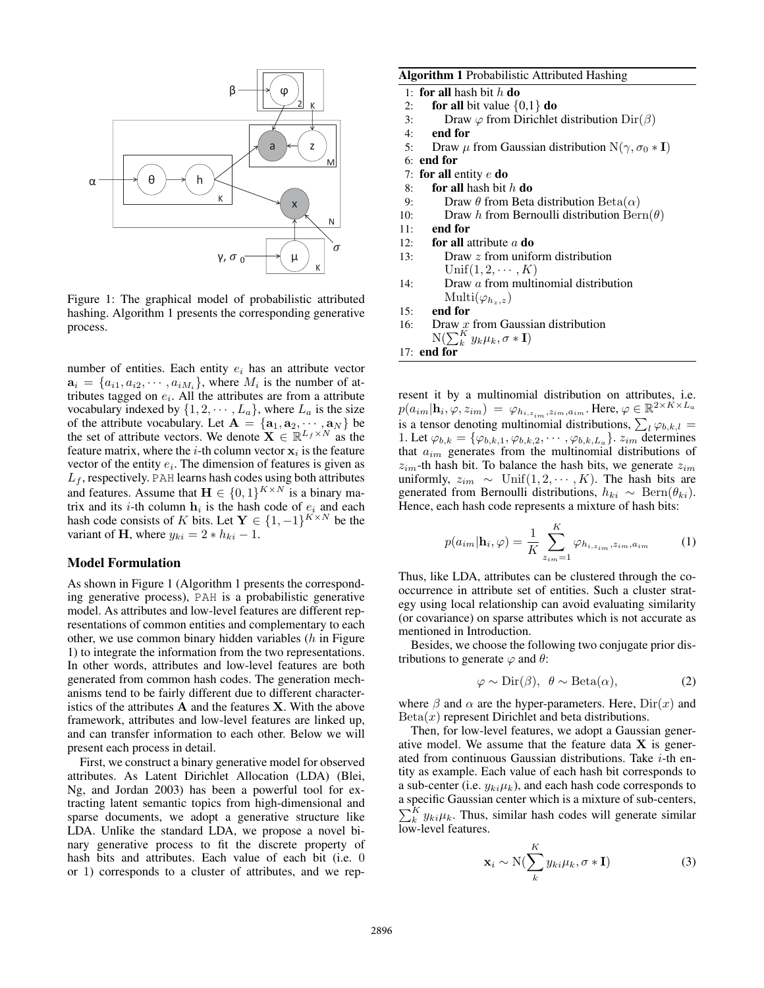

Figure 1: The graphical model of probabilistic attributed hashing. Algorithm 1 presents the corresponding generative process.

number of entities. Each entity  $e_i$  has an attribute vector  $a_i = \{a_{i1}, a_{i2}, \dots, a_{iM_i}\}\$ , where  $M_i$  is the number of attributes tagged on  $e_i$ . All the attributes are from a attribute vocabulary indexed by  $\{1, 2, \dots, L_a\}$ , where  $L_a$  is the size of the attribute vocabulary. Let  $\mathbf{A} = \{a_1, a_2, \cdots, a_N\}$  be the set of attribute vectors. We denote  $\mathbf{X} \in \mathbb{R}^{L_f \times N}$  as the feature matrix, where the *i*-th column vector  $x_i$  is the feature vector of the entity  $e_i$ . The dimension of features is given as  $L_f$ , respectively. PAH learns hash codes using both attributes and features. Assume that  $\mathbf{H} \in \{0,1\}^{K \times N}$  is a binary matrix and its *i*-th column  $h_i$  is the hash code of  $e_i$  and each hash code consists of K bits. Let  $\mathbf{Y} \in \{1, -1\}^{K \times N}$  be the variant of H, where  $y_{ki} = 2 * h_{ki} - 1$ .

# Model Formulation

As shown in Figure 1 (Algorithm 1 presents the corresponding generative process), PAH is a probabilistic generative model. As attributes and low-level features are different representations of common entities and complementary to each other, we use common binary hidden variables  $(h)$  in Figure 1) to integrate the information from the two representations. In other words, attributes and low-level features are both generated from common hash codes. The generation mechanisms tend to be fairly different due to different characteristics of the attributes  $A$  and the features  $X$ . With the above framework, attributes and low-level features are linked up, and can transfer information to each other. Below we will present each process in detail.

First, we construct a binary generative model for observed attributes. As Latent Dirichlet Allocation (LDA) (Blei, Ng, and Jordan 2003) has been a powerful tool for extracting latent semantic topics from high-dimensional and sparse documents, we adopt a generative structure like LDA. Unlike the standard LDA, we propose a novel binary generative process to fit the discrete property of hash bits and attributes. Each value of each bit (i.e. 0 or 1) corresponds to a cluster of attributes, and we rep-

# Algorithm 1 Probabilistic Attributed Hashing

- 1: for all hash bit  $h$  do
- 2: for all bit value  $\{0,1\}$  do
- 3: Draw  $\varphi$  from Dirichlet distribution Dir $(\beta)$
- 4: end for
- 5: Draw  $\mu$  from Gaussian distribution N( $\gamma$ ,  $\sigma_0 * \mathbf{I}$ )
- 6: end for
- 7: for all entity  $e$  do
- 8: for all hash bit  $h$  do
- 9: Draw  $\theta$  from Beta distribution Beta $(\alpha)$
- 10: Draw h from Bernoulli distribution  $\text{Bern}(\theta)$
- 11: end for
- 12: **for all** attribute  $a$  **do**
- 13: Draw z from uniform distribution  $Unif(1, 2, \cdots, K)$
- 14: Draw a from multinomial distribution Multi $(\varphi_{h_z,z})$
- 15: end for
- 16: Draw  $\mathcal{L}$  from Gaussian distribution
- $\mathrm{N}(\sum_k^K y_k \mu_k, \sigma * \mathbf{I})$
- 17: end for

resent it by a multinomial distribution on attributes, i.e.  $p(a_{im}|\textbf{h}_i, \varphi, z_{im}) \ = \ \varphi_{h_{i,z_{im}},z_{im},a_{im}}.$  Here,  $\varphi \in \mathbb{R}^{2\times K \times L_a}$ is a tensor denoting multinomial distributions,  $\sum_l \varphi_{b,k,l} =$ 1. Let  $\varphi_{b,k} = {\varphi_{b,k,1}, \varphi_{b,k,2}, \cdots, \varphi_{b,k,L_a}}$ .  $z_{im}$  determines that  $a_{im}$  generates from the multinomial distributions of  $z_{im}$ -th hash bit. To balance the hash bits, we generate  $z_{im}$ uniformly,  $z_{im} \sim$  Unif $(1, 2, \cdots, K)$ . The hash bits are generated from Bernoulli distributions,  $h_{ki} \sim \text{Bern}(\theta_{ki})$ . Hence, each hash code represents a mixture of hash bits:

$$
p(a_{im}|\mathbf{h}_{i},\varphi) = \frac{1}{K} \sum_{z_{im}=1}^{K} \varphi_{h_{i,z_{im}},z_{im},a_{im}} \qquad (1)
$$

Thus, like LDA, attributes can be clustered through the cooccurrence in attribute set of entities. Such a cluster strategy using local relationship can avoid evaluating similarity (or covariance) on sparse attributes which is not accurate as mentioned in Introduction.

Besides, we choose the following two conjugate prior distributions to generate  $\varphi$  and  $\theta$ :

$$
\varphi \sim \text{Dir}(\beta), \ \theta \sim \text{Beta}(\alpha), \tag{2}
$$

where  $\beta$  and  $\alpha$  are the hyper-parameters. Here,  $Dir(x)$  and  $Beta(x)$  represent Dirichlet and beta distributions.

Then, for low-level features, we adopt a Gaussian generative model. We assume that the feature data  $X$  is generated from continuous Gaussian distributions. Take  $i$ -th entity as example. Each value of each hash bit corresponds to a sub-center (i.e.  $y_{ki}\mu_k$ ), and each hash code corresponds to a specific Gaussian center which is a mixture of sub-centers,  $\sum_{k=1}^{K} y_{ki} \mu_k$ . Thus, similar hash codes will generate similar low-level features.

$$
\mathbf{x}_{i} \sim \mathrm{N}(\sum_{k}^{K} y_{ki} \mu_{k}, \sigma * \mathbf{I})
$$
 (3)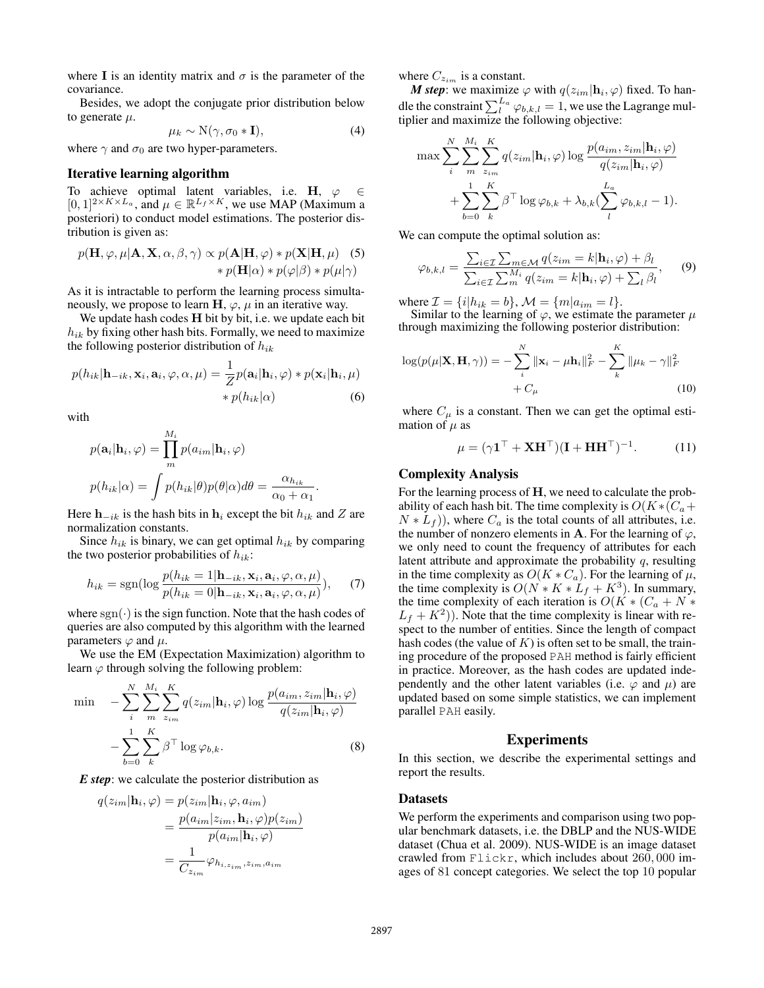where I is an identity matrix and  $\sigma$  is the parameter of the covariance.

Besides, we adopt the conjugate prior distribution below to generate  $\mu$ .

$$
\mu_k \sim \mathcal{N}(\gamma, \sigma_0 * \mathbf{I}),\tag{4}
$$

where  $\gamma$  and  $\sigma_0$  are two hyper-parameters.

#### Iterative learning algorithm

To achieve optimal latent variables, i.e. H,  $\varphi \in \Theta$  $[0,1]^{2 \times K \times L_a}$ , and  $\mu \in \mathbb{R}^{L_f \times K}$ , we use MAP (Maximum a posteriori) to conduct model estimations. The posterior distribution is given as:

$$
p(\mathbf{H}, \varphi, \mu | \mathbf{A}, \mathbf{X}, \alpha, \beta, \gamma) \propto p(\mathbf{A} | \mathbf{H}, \varphi) * p(\mathbf{X} | \mathbf{H}, \mu) \quad (5)
$$

$$
* p(\mathbf{H} | \alpha) * p(\varphi | \beta) * p(\mu | \gamma)
$$

As it is intractable to perform the learning process simultaneously, we propose to learn  $H$ ,  $\varphi$ ,  $\mu$  in an iterative way.

We update hash codes **H** bit by bit, i.e. we update each bit  $h_{ik}$  by fixing other hash bits. Formally, we need to maximize the following posterior distribution of  $h_{ik}$ 

$$
p(h_{ik}|\mathbf{h}_{-ik}, \mathbf{x}_i, \mathbf{a}_i, \varphi, \alpha, \mu) = \frac{1}{Z} p(\mathbf{a}_i|\mathbf{h}_i, \varphi) * p(\mathbf{x}_i|\mathbf{h}_i, \mu) \n * p(h_{ik}|\alpha)
$$
\n(6)

with

$$
p(\mathbf{a}_i|\mathbf{h}_i, \varphi) = \prod_m^{M_i} p(a_{im}|\mathbf{h}_i, \varphi)
$$
  

$$
p(h_{ik}|\alpha) = \int p(h_{ik}|\theta)p(\theta|\alpha)d\theta = \frac{\alpha_{h_{ik}}}{\alpha_0 + \alpha_1}.
$$

Here  $h_{-ik}$  is the hash bits in  $h_i$  except the bit  $h_{ik}$  and Z are normalization constants.

Since  $h_{ik}$  is binary, we can get optimal  $h_{ik}$  by comparing the two posterior probabilities of  $h_{ik}$ :

$$
h_{ik} = \text{sgn}(\log \frac{p(h_{ik} = 1 | \mathbf{h}_{-ik}, \mathbf{x}_i, \mathbf{a}_i, \varphi, \alpha, \mu)}{p(h_{ik} = 0 | \mathbf{h}_{-ik}, \mathbf{x}_i, \mathbf{a}_i, \varphi, \alpha, \mu)}), \quad (7)
$$

where  $sgn(\cdot)$  is the sign function. Note that the hash codes of queries are also computed by this algorithm with the learned parameters  $\varphi$  and  $\mu$ .

We use the EM (Expectation Maximization) algorithm to learn  $\varphi$  through solving the following problem:

$$
\min \quad -\sum_{i}^{N} \sum_{m}^{M_i} \sum_{z_{im}}^{K} q(z_{im} | \mathbf{h}_i, \varphi) \log \frac{p(a_{im}, z_{im} | \mathbf{h}_i, \varphi)}{q(z_{im} | \mathbf{h}_i, \varphi)}
$$

$$
- \sum_{b=0}^{1} \sum_{k}^{K} \beta^{\top} \log \varphi_{b,k}.
$$
(8)

*E step*: we calculate the posterior distribution as

$$
q(z_{im}|\mathbf{h}_{i},\varphi) = p(z_{im}|\mathbf{h}_{i},\varphi,a_{im})
$$
  
= 
$$
\frac{p(a_{im}|z_{im},\mathbf{h}_{i},\varphi)p(z_{im})}{p(a_{im}|\mathbf{h}_{i},\varphi)}
$$
  
= 
$$
\frac{1}{C_{z_{im}}}\varphi_{h_{i,z_{im}},z_{im},a_{im}}
$$

where  $C_{z_{im}}$  is a constant.

M<sup>i</sup>

*M* step: we maximize  $\varphi$  with  $q(z_{im}|\mathbf{h}_i, \varphi)$  fixed. To handle the constraint  $\sum_{l}^{L_a} \varphi_{b,k,l} = 1$ , we use the Lagrange multiplier and maximize the following objective:

$$
\max \sum_{i}^{N} \sum_{m}^{M_i} \sum_{z_{im}}^{K} q(z_{im} | \mathbf{h}_i, \varphi) \log \frac{p(a_{im}, z_{im} | \mathbf{h}_i, \varphi)}{q(z_{im} | \mathbf{h}_i, \varphi)} + \sum_{b=0}^{1} \sum_{k}^{K} \beta^{\top} \log \varphi_{b,k} + \lambda_{b,k} (\sum_{l}^{L_a} \varphi_{b,k,l} - 1).
$$

We can compute the optimal solution as:

$$
\varphi_{b,k,l} = \frac{\sum_{i \in \mathcal{I}} \sum_{m \in \mathcal{M}} q(z_{im} = k | \mathbf{h}_i, \varphi) + \beta_l}{\sum_{i \in \mathcal{I}} \sum_{m}^{M_i} q(z_{im} = k | \mathbf{h}_i, \varphi) + \sum_{l} \beta_l}, \qquad (9)
$$

where  $\mathcal{I} = \{i | h_{ik} = b\}, \mathcal{M} = \{m | a_{im} = l\}.$ 

Similar to the learning of  $\varphi$ , we estimate the parameter  $\mu$ through maximizing the following posterior distribution:

$$
\log(p(\mu|\mathbf{X}, \mathbf{H}, \gamma)) = -\sum_{i}^{N} ||\mathbf{x}_{i} - \mu \mathbf{h}_{i}||_{F}^{2} - \sum_{k}^{K} ||\mu_{k} - \gamma||_{F}^{2} + C_{\mu}
$$
\n(10)

where  $C_{\mu}$  is a constant. Then we can get the optimal estimation of  $\mu$  as

$$
\mu = (\gamma \mathbf{1}^\top + \mathbf{X} \mathbf{H}^\top)(\mathbf{I} + \mathbf{H} \mathbf{H}^\top)^{-1}.
$$
 (11)

#### Complexity Analysis

For the learning process of H, we need to calculate the probability of each hash bit. The time complexity is  $O(K * (C_a +$  $N * L_f$ ), where  $C_a$  is the total counts of all attributes, i.e. the number of nonzero elements in A. For the learning of  $\varphi$ , we only need to count the frequency of attributes for each latent attribute and approximate the probability  $q$ , resulting in the time complexity as  $O(K * C_a)$ . For the learning of  $\mu$ , the time complexity is  $O(N * K * L_f + K^3)$ . In summary, the time complexity of each iteration is  $O(K * (C_a + N *$  $L_f + K^2$ )). Note that the time complexity is linear with respect to the number of entities. Since the length of compact hash codes (the value of  $K$ ) is often set to be small, the training procedure of the proposed PAH method is fairly efficient in practice. Moreover, as the hash codes are updated independently and the other latent variables (i.e.  $\varphi$  and  $\mu$ ) are updated based on some simple statistics, we can implement parallel PAH easily.

# Experiments

In this section, we describe the experimental settings and report the results.

#### **Datasets**

We perform the experiments and comparison using two popular benchmark datasets, i.e. the DBLP and the NUS-WIDE dataset (Chua et al. 2009). NUS-WIDE is an image dataset crawled from Flickr, which includes about 260, 000 images of 81 concept categories. We select the top 10 popular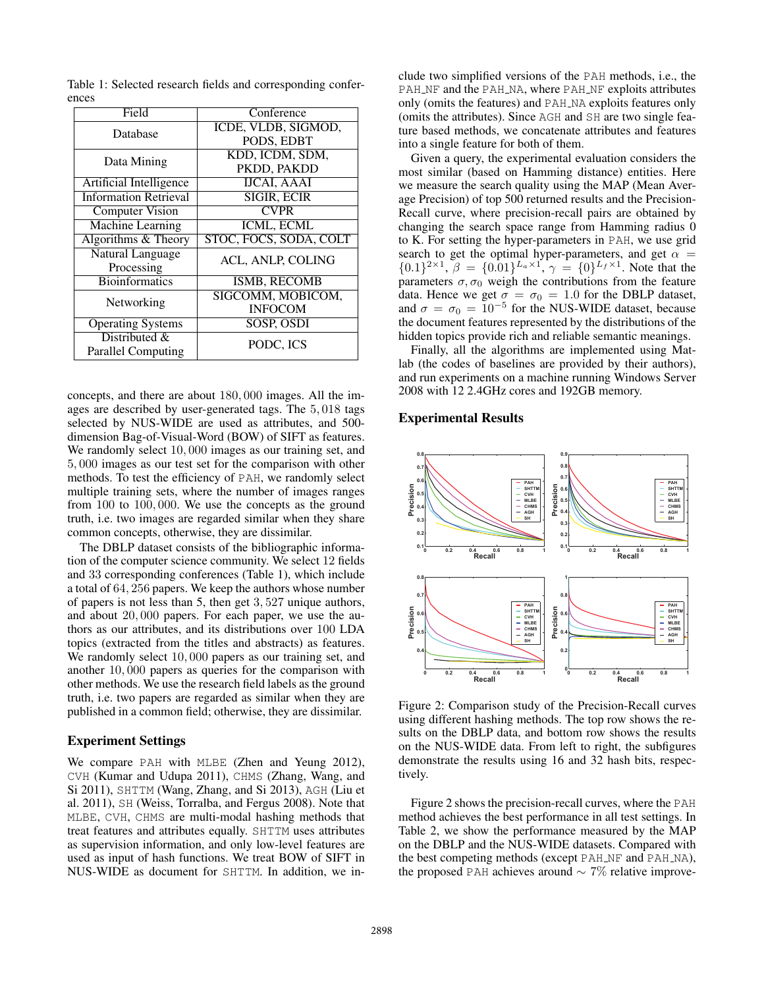| Field                        | Conference             |  |  |  |
|------------------------------|------------------------|--|--|--|
| Database                     | ICDE, VLDB, SIGMOD,    |  |  |  |
|                              | PODS, EDBT             |  |  |  |
|                              | KDD, ICDM, SDM,        |  |  |  |
| Data Mining                  | PKDD, PAKDD            |  |  |  |
| Artificial Intelligence      | <b>IJCAI, AAAI</b>     |  |  |  |
| <b>Information Retrieval</b> | <b>SIGIR, ECIR</b>     |  |  |  |
| <b>Computer Vision</b>       | <b>CVPR</b>            |  |  |  |
| Machine Learning             | ICML, ECML             |  |  |  |
| Algorithms & Theory          | STOC, FOCS, SODA, COLT |  |  |  |
| <b>Natural Language</b>      | ACL, ANLP, COLING      |  |  |  |
| Processing                   |                        |  |  |  |
| <b>Bioinformatics</b>        | <b>ISMB, RECOMB</b>    |  |  |  |
| Networking                   | SIGCOMM, MOBICOM,      |  |  |  |
|                              | <b>INFOCOM</b>         |  |  |  |
| <b>Operating Systems</b>     | SOSP, OSDI             |  |  |  |
| Distributed &                | PODC, ICS              |  |  |  |
| <b>Parallel Computing</b>    |                        |  |  |  |

Table 1: Selected research fields and corresponding conferences

concepts, and there are about 180, 000 images. All the images are described by user-generated tags. The 5, 018 tags selected by NUS-WIDE are used as attributes, and 500 dimension Bag-of-Visual-Word (BOW) of SIFT as features. We randomly select 10,000 images as our training set, and 5, 000 images as our test set for the comparison with other methods. To test the efficiency of PAH, we randomly select multiple training sets, where the number of images ranges from 100 to 100, 000. We use the concepts as the ground truth, i.e. two images are regarded similar when they share common concepts, otherwise, they are dissimilar.

The DBLP dataset consists of the bibliographic information of the computer science community. We select 12 fields and 33 corresponding conferences (Table 1), which include a total of 64, 256 papers. We keep the authors whose number of papers is not less than 5, then get 3, 527 unique authors, and about 20, 000 papers. For each paper, we use the authors as our attributes, and its distributions over 100 LDA topics (extracted from the titles and abstracts) as features. We randomly select 10,000 papers as our training set, and another 10, 000 papers as queries for the comparison with other methods. We use the research field labels as the ground truth, i.e. two papers are regarded as similar when they are published in a common field; otherwise, they are dissimilar.

# Experiment Settings

We compare PAH with MLBE (Zhen and Yeung 2012), CVH (Kumar and Udupa 2011), CHMS (Zhang, Wang, and Si 2011), SHTTM (Wang, Zhang, and Si 2013), AGH (Liu et al. 2011), SH (Weiss, Torralba, and Fergus 2008). Note that MLBE, CVH, CHMS are multi-modal hashing methods that treat features and attributes equally. SHTTM uses attributes as supervision information, and only low-level features are used as input of hash functions. We treat BOW of SIFT in NUS-WIDE as document for SHTTM. In addition, we in-

clude two simplified versions of the PAH methods, i.e., the PAH\_NF and the PAH\_NA, where PAH\_NF exploits attributes only (omits the features) and PAH NA exploits features only (omits the attributes). Since AGH and SH are two single feature based methods, we concatenate attributes and features into a single feature for both of them.

Given a query, the experimental evaluation considers the most similar (based on Hamming distance) entities. Here we measure the search quality using the MAP (Mean Average Precision) of top 500 returned results and the Precision-Recall curve, where precision-recall pairs are obtained by changing the search space range from Hamming radius 0 to K. For setting the hyper-parameters in PAH, we use grid search to get the optimal hyper-parameters, and get  $\alpha$  =  $\{0.1\}^{2\times1}, \beta = \{0.01\}^{L_a \times 1}, \gamma = \{0\}^{L_f \times 1}$ . Note that the parameters  $\sigma$ ,  $\sigma_0$  weigh the contributions from the feature data. Hence we get  $\sigma = \sigma_0 = 1.0$  for the DBLP dataset, and  $\sigma = \sigma_0 = 10^{-5}$  for the NUS-WIDE dataset, because the document features represented by the distributions of the hidden topics provide rich and reliable semantic meanings.

Finally, all the algorithms are implemented using Matlab (the codes of baselines are provided by their authors), and run experiments on a machine running Windows Server 2008 with 12 2.4GHz cores and 192GB memory.

# Experimental Results



Figure 2: Comparison study of the Precision-Recall curves using different hashing methods. The top row shows the results on the DBLP data, and bottom row shows the results on the NUS-WIDE data. From left to right, the subfigures demonstrate the results using 16 and 32 hash bits, respectively.

Figure 2 shows the precision-recall curves, where the PAH method achieves the best performance in all test settings. In Table 2, we show the performance measured by the MAP on the DBLP and the NUS-WIDE datasets. Compared with the best competing methods (except PAH NF and PAH NA), the proposed PAH achieves around  $\sim$  7% relative improve-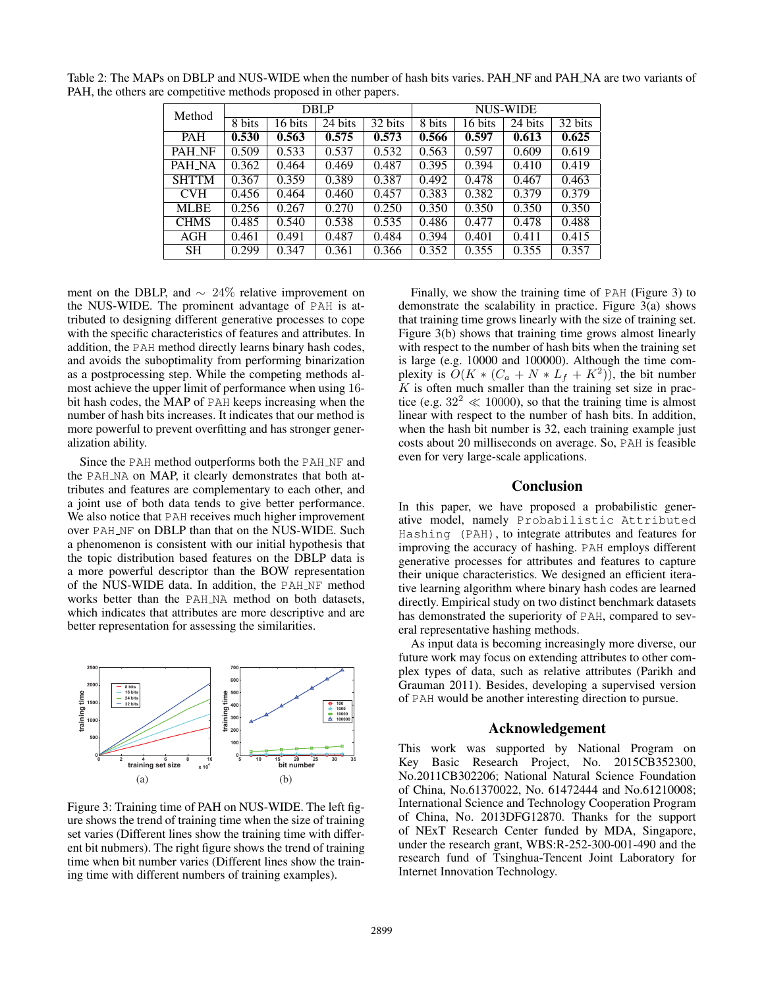| Method<br>8 bits | <b>DBLP</b> |         |         | NUS-WIDE |         |         |         |       |
|------------------|-------------|---------|---------|----------|---------|---------|---------|-------|
|                  | 6 bits      | 24 bits | 32 bits | 8 bits   | 16 bits | 24 bits | 32 bits |       |
| <b>PAH</b>       | 0.530       | 0.563   | 0.575   | 0.573    | 0.566   | 0.597   | 0.613   | 0.625 |
| PAH NF           | 0.509       | 0.533   | 0.537   | 0.532    | 0.563   | 0.597   | 0.609   | 0.619 |
| PAH_NA           | 0.362       | 0.464   | 0.469   | 0.487    | 0.395   | 0.394   | 0.410   | 0.419 |
| <b>SHTTM</b>     | 0.367       | 0.359   | 0.389   | 0.387    | 0.492   | 0.478   | 0.467   | 0.463 |
| <b>CVH</b>       | 0.456       | 0.464   | 0.460   | 0.457    | 0.383   | 0.382   | 0.379   | 0.379 |
| <b>MLBE</b>      | 0.256       | 0.267   | 0.270   | 0.250    | 0.350   | 0.350   | 0.350   | 0.350 |
| <b>CHMS</b>      | 0.485       | 0.540   | 0.538   | 0.535    | 0.486   | 0.477   | 0.478   | 0.488 |
| AGH              | 0.461       | 0.491   | 0.487   | 0.484    | 0.394   | 0.401   | 0.411   | 0.415 |
| <b>SH</b>        | 0.299       | 0.347   | 0.361   | 0.366    | 0.352   | 0.355   | 0.355   | 0.357 |

Table 2: The MAPs on DBLP and NUS-WIDE when the number of hash bits varies. PAH\_NF and PAH\_NA are two variants of PAH, the others are competitive methods proposed in other papers.

ment on the DBLP, and  $\sim 24\%$  relative improvement on the NUS-WIDE. The prominent advantage of PAH is attributed to designing different generative processes to cope with the specific characteristics of features and attributes. In addition, the PAH method directly learns binary hash codes, and avoids the suboptimality from performing binarization as a postprocessing step. While the competing methods almost achieve the upper limit of performance when using 16 bit hash codes, the MAP of PAH keeps increasing when the number of hash bits increases. It indicates that our method is more powerful to prevent overfitting and has stronger generalization ability.

Since the PAH method outperforms both the PAH\_NF and the PAH NA on MAP, it clearly demonstrates that both attributes and features are complementary to each other, and a joint use of both data tends to give better performance. We also notice that PAH receives much higher improvement over PAH NF on DBLP than that on the NUS-WIDE. Such a phenomenon is consistent with our initial hypothesis that the topic distribution based features on the DBLP data is a more powerful descriptor than the BOW representation of the NUS-WIDE data. In addition, the PAH NF method works better than the PAH NA method on both datasets, which indicates that attributes are more descriptive and are better representation for assessing the similarities.



Figure 3: Training time of PAH on NUS-WIDE. The left figure shows the trend of training time when the size of training set varies (Different lines show the training time with different bit nubmers). The right figure shows the trend of training time when bit number varies (Different lines show the training time with different numbers of training examples).

Finally, we show the training time of PAH (Figure 3) to demonstrate the scalability in practice. Figure 3(a) shows that training time grows linearly with the size of training set. Figure 3(b) shows that training time grows almost linearly with respect to the number of hash bits when the training set is large (e.g. 10000 and 100000). Although the time complexity is  $\tilde{O}(K * (C_a + N * L_f + K^2))$ , the bit number  $K$  is often much smaller than the training set size in practice (e.g.  $32^2 \ll 10000$ ), so that the training time is almost linear with respect to the number of hash bits. In addition, when the hash bit number is 32, each training example just costs about 20 milliseconds on average. So, PAH is feasible even for very large-scale applications.

# Conclusion

In this paper, we have proposed a probabilistic generative model, namely Probabilistic Attributed Hashing (PAH), to integrate attributes and features for improving the accuracy of hashing. PAH employs different generative processes for attributes and features to capture their unique characteristics. We designed an efficient iterative learning algorithm where binary hash codes are learned directly. Empirical study on two distinct benchmark datasets has demonstrated the superiority of PAH, compared to several representative hashing methods.

As input data is becoming increasingly more diverse, our future work may focus on extending attributes to other complex types of data, such as relative attributes (Parikh and Grauman 2011). Besides, developing a supervised version of PAH would be another interesting direction to pursue.

#### Acknowledgement

This work was supported by National Program on Key Basic Research Project, No. 2015CB352300, No.2011CB302206; National Natural Science Foundation of China, No.61370022, No. 61472444 and No.61210008; International Science and Technology Cooperation Program of China, No. 2013DFG12870. Thanks for the support of NExT Research Center funded by MDA, Singapore, under the research grant, WBS:R-252-300-001-490 and the research fund of Tsinghua-Tencent Joint Laboratory for Internet Innovation Technology.